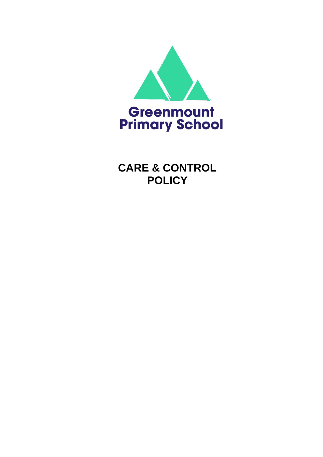

**CARE & CONTROL POLICY**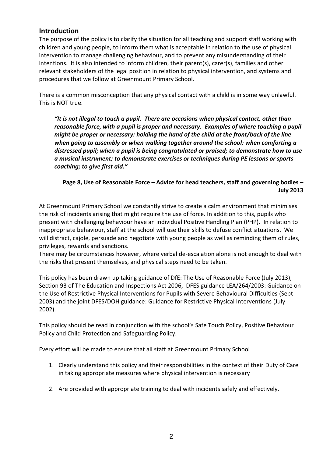#### **Introduction**

The purpose of the policy is to clarify the situation for all teaching and support staff working with children and young people, to inform them what is acceptable in relation to the use of physical intervention to manage challenging behaviour, and to prevent any misunderstanding of their intentions. It is also intended to inform children, their parent(s), carer(s), families and other relevant stakeholders of the legal position in relation to physical intervention, and systems and procedures that we follow at Greenmount Primary School.

There is a common misconception that any physical contact with a child is in some way unlawful. This is NOT true.

*"It is not illegal to touch a pupil. There are occasions when physical contact, other than reasonable force, with a pupil is proper and necessary. Examples of where touching a pupil might be proper or necessary: holding the hand of the child at the front/back of the line when going to assembly or when walking together around the school; when comforting a distressed pupil; when a pupil is being congratulated or praised; to demonstrate how to use a musical instrument; to demonstrate exercises or techniques during PE lessons or sports coaching; to give first aid."*

### **Page 8, Use of Reasonable Force – Advice for head teachers, staff and governing bodies – July 2013**

At Greenmount Primary School we constantly strive to create a calm environment that minimises the risk of incidents arising that might require the use of force. In addition to this, pupils who present with challenging behaviour have an individual Positive Handling Plan (PHP). In relation to inappropriate behaviour, staff at the school will use their skills to defuse conflict situations. We will distract, cajole, persuade and negotiate with young people as well as reminding them of rules, privileges, rewards and sanctions.

There may be circumstances however, where verbal de-escalation alone is not enough to deal with the risks that present themselves, and physical steps need to be taken.

This policy has been drawn up taking guidance of DfE: The Use of Reasonable Force (July 2013), Section 93 of The Education and Inspections Act 2006, DFES guidance LEA/264/2003: Guidance on the Use of Restrictive Physical Interventions for Pupils with Severe Behavioural Difficulties (Sept 2003) and the joint DFES/DOH guidance: Guidance for Restrictive Physical Interventions (July 2002).

This policy should be read in conjunction with the school's Safe Touch Policy, Positive Behaviour Policy and Child Protection and Safeguarding Policy.

Every effort will be made to ensure that all staff at Greenmount Primary School

- 1. Clearly understand this policy and their responsibilities in the context of their Duty of Care in taking appropriate measures where physical intervention is necessary
- 2. Are provided with appropriate training to deal with incidents safely and effectively.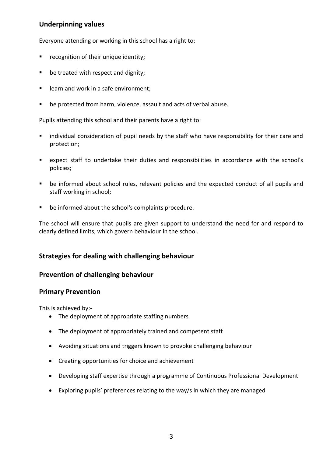### **Underpinning values**

Everyone attending or working in this school has a right to:

- **•** recognition of their unique identity;
- be treated with respect and dignity;
- **EXTER** learn and work in a safe environment;
- be protected from harm, violence, assault and acts of verbal abuse.

Pupils attending this school and their parents have a right to:

- **I** individual consideration of pupil needs by the staff who have responsibility for their care and protection;
- expect staff to undertake their duties and responsibilities in accordance with the school's policies;
- be informed about school rules, relevant policies and the expected conduct of all pupils and staff working in school;
- be informed about the school's complaints procedure.

The school will ensure that pupils are given support to understand the need for and respond to clearly defined limits, which govern behaviour in the school.

#### **Strategies for dealing with challenging behaviour**

#### **Prevention of challenging behaviour**

#### **Primary Prevention**

This is achieved by:-

- The deployment of appropriate staffing numbers
- The deployment of appropriately trained and competent staff
- Avoiding situations and triggers known to provoke challenging behaviour
- Creating opportunities for choice and achievement
- Developing staff expertise through a programme of Continuous Professional Development
- Exploring pupils' preferences relating to the way/s in which they are managed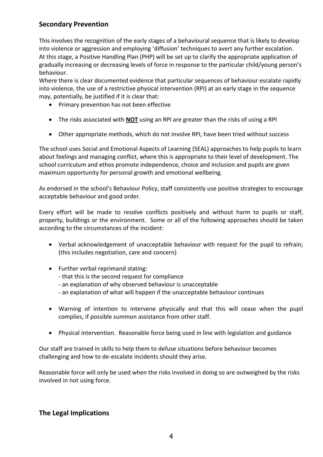# **Secondary Prevention**

This involves the recognition of the early stages of a behavioural sequence that is likely to develop into violence or aggression and employing 'diffusion' techniques to avert any further escalation. At this stage, a Positive Handling Plan (PHP) will be set up to clarify the appropriate application of gradually increasing or decreasing levels of force in response to the particular child/young person's behaviour.

Where there is clear documented evidence that particular sequences of behaviour escalate rapidly into violence, the use of a restrictive physical intervention (RPI) at an early stage in the sequence may, potentially, be justified if it is clear that:

- Primary prevention has not been effective
- The risks associated with **NOT** using an RPI are greater than the risks of using a RPI
- Other appropriate methods, which do not involve RPI, have been tried without success

The school uses Social and Emotional Aspects of Learning (SEAL) approaches to help pupils to learn about feelings and managing conflict, where this is appropriate to their level of development. The school curriculum and ethos promote independence, choice and inclusion and pupils are given maximum opportunity for personal growth and emotional wellbeing.

As endorsed in the school's Behaviour Policy, staff consistently use positive strategies to encourage acceptable behaviour and good order.

Every effort will be made to resolve conflicts positively and without harm to pupils or staff, property, buildings or the environment. Some or all of the following approaches should be taken according to the circumstances of the incident:

- Verbal acknowledgement of unacceptable behaviour with request for the pupil to refrain; (this includes negotiation, care and concern)
- Further verbal reprimand stating:
	- that this is the second request for compliance
	- an explanation of why observed behaviour is unacceptable
	- an explanation of what will happen if the unacceptable behaviour continues
- Warning of intention to intervene physically and that this will cease when the pupil complies, if possible summon assistance from other staff.
- Physical intervention. Reasonable force being used in line with legislation and guidance

Our staff are trained in skills to help them to defuse situations before behaviour becomes challenging and how to de-escalate incidents should they arise.

Reasonable force will only be used when the risks involved in doing so are outweighed by the risks involved in not using force.

#### **The Legal Implications**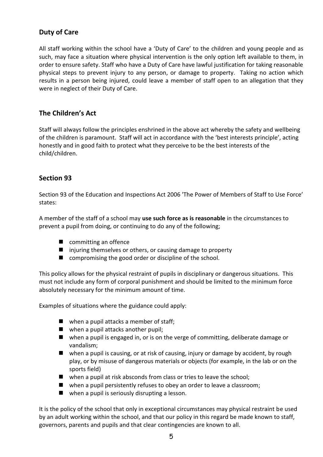# **Duty of Care**

All staff working within the school have a 'Duty of Care' to the children and young people and as such, may face a situation where physical intervention is the only option left available to them, in order to ensure safety. Staff who have a Duty of Care have lawful justification for taking reasonable physical steps to prevent injury to any person, or damage to property. Taking no action which results in a person being injured, could leave a member of staff open to an allegation that they were in neglect of their Duty of Care.

### **The Children's Act**

Staff will always follow the principles enshrined in the above act whereby the safety and wellbeing of the children is paramount. Staff will act in accordance with the 'best interests principle', acting honestly and in good faith to protect what they perceive to be the best interests of the child/children.

#### **Section 93**

Section 93 of the Education and Inspections Act 2006 'The Power of Members of Staff to Use Force' states:

A member of the staff of a school may **use such force as is reasonable** in the circumstances to prevent a pupil from doing, or continuing to do any of the following;

- committing an offence
- injuring themselves or others, or causing damage to property
- compromising the good order or discipline of the school.

This policy allows for the physical restraint of pupils in disciplinary or dangerous situations. This must not include any form of corporal punishment and should be limited to the minimum force absolutely necessary for the minimum amount of time.

Examples of situations where the guidance could apply:

- $\blacksquare$  when a pupil attacks a member of staff;
- when a pupil attacks another pupil;
- when a pupil is engaged in, or is on the verge of committing, deliberate damage or vandalism;
- when a pupil is causing, or at risk of causing, injury or damage by accident, by rough play, or by misuse of dangerous materials or objects (for example, in the lab or on the sports field)
- $\blacksquare$  when a pupil at risk absconds from class or tries to leave the school;
- when a pupil persistently refuses to obey an order to leave a classroom;
- when a pupil is seriously disrupting a lesson.

It is the policy of the school that only in exceptional circumstances may physical restraint be used by an adult working within the school, and that our policy in this regard be made known to staff, governors, parents and pupils and that clear contingencies are known to all.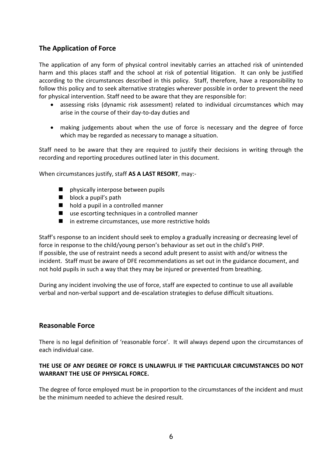# **The Application of Force**

The application of any form of physical control inevitably carries an attached risk of unintended harm and this places staff and the school at risk of potential litigation. It can only be justified according to the circumstances described in this policy. Staff, therefore, have a responsibility to follow this policy and to seek alternative strategies wherever possible in order to prevent the need for physical intervention. Staff need to be aware that they are responsible for:

- assessing risks (dynamic risk assessment) related to individual circumstances which may arise in the course of their day-to-day duties and
- making judgements about when the use of force is necessary and the degree of force which may be regarded as necessary to manage a situation.

Staff need to be aware that they are required to justify their decisions in writing through the recording and reporting procedures outlined later in this document.

When circumstances justify, staff **AS A LAST RESORT**, may:-

- **n** physically interpose between pupils
- $\blacksquare$  block a pupil's path
- hold a pupil in a controlled manner
- use escorting techniques in a controlled manner
- in extreme circumstances, use more restrictive holds

Staff's response to an incident should seek to employ a gradually increasing or decreasing level of force in response to the child/young person's behaviour as set out in the child's PHP. If possible, the use of restraint needs a second adult present to assist with and/or witness the incident. Staff must be aware of DFE recommendations as set out in the guidance document, and not hold pupils in such a way that they may be injured or prevented from breathing.

During any incident involving the use of force, staff are expected to continue to use all available verbal and non-verbal support and de-escalation strategies to defuse difficult situations.

#### **Reasonable Force**

There is no legal definition of 'reasonable force'. It will always depend upon the circumstances of each individual case.

#### **THE USE OF ANY DEGREE OF FORCE IS UNLAWFUL IF THE PARTICULAR CIRCUMSTANCES DO NOT WARRANT THE USE OF PHYSICAL FORCE.**

The degree of force employed must be in proportion to the circumstances of the incident and must be the minimum needed to achieve the desired result.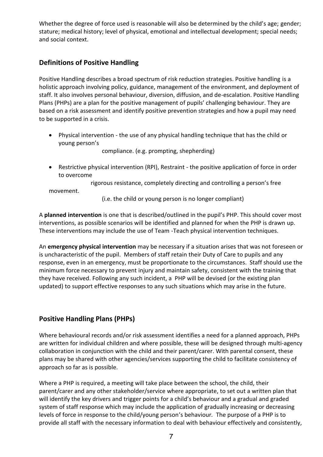Whether the degree of force used is reasonable will also be determined by the child's age; gender; stature; medical history; level of physical, emotional and intellectual development; special needs; and social context.

# **Definitions of Positive Handling**

Positive Handling describes a broad spectrum of risk reduction strategies. Positive handling is a holistic approach involving policy, guidance, management of the environment, and deployment of staff. It also involves personal behaviour, diversion, diffusion, and de-escalation. Positive Handling Plans (PHPs) are a plan for the positive management of pupils' challenging behaviour. They are based on a risk assessment and identify positive prevention strategies and how a pupil may need to be supported in a crisis.

 Physical intervention - the use of any physical handling technique that has the child or young person's

compliance. (e.g. prompting, shepherding)

 Restrictive physical intervention (RPI), Restraint - the positive application of force in order to overcome

 rigorous resistance, completely directing and controlling a person's free movement.

(i.e. the child or young person is no longer compliant)

A **planned intervention** is one that is described/outlined in the pupil's PHP. This should cover most interventions, as possible scenarios will be identified and planned for when the PHP is drawn up. These interventions may include the use of Team -Teach physical intervention techniques.

An **emergency physical intervention** may be necessary if a situation arises that was not foreseen or is uncharacteristic of the pupil. Members of staff retain their Duty of Care to pupils and any response, even in an emergency, must be proportionate to the circumstances. Staff should use the minimum force necessary to prevent injury and maintain safety, consistent with the training that they have received. Following any such incident, a PHP will be devised (or the existing plan updated) to support effective responses to any such situations which may arise in the future.

# **Positive Handling Plans (PHPs)**

Where behavioural records and/or risk assessment identifies a need for a planned approach, PHPs are written for individual children and where possible, these will be designed through multi-agency collaboration in conjunction with the child and their parent/carer. With parental consent, these plans may be shared with other agencies/services supporting the child to facilitate consistency of approach so far as is possible.

Where a PHP is required, a meeting will take place between the school, the child, their parent/carer and any other stakeholder/service where appropriate, to set out a written plan that will identify the key drivers and trigger points for a child's behaviour and a gradual and graded system of staff response which may include the application of gradually increasing or decreasing levels of force in response to the child/young person's behaviour*.* The purpose of a PHP is to provide all staff with the necessary information to deal with behaviour effectively and consistently,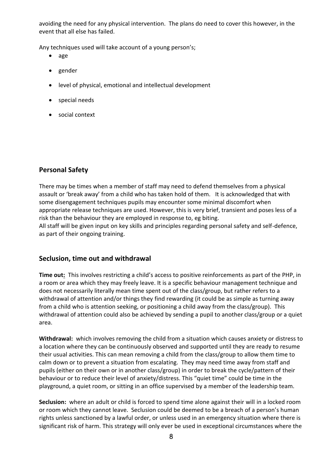avoiding the need for any physical intervention. The plans do need to cover this however, in the event that all else has failed.

Any techniques used will take account of a young person's;

- age
- gender
- level of physical, emotional and intellectual development
- special needs
- social context

# **Personal Safety**

There may be times when a member of staff may need to defend themselves from a physical assault or 'break away' from a child who has taken hold of them. It is acknowledged that with some disengagement techniques pupils may encounter some minimal discomfort when appropriate release techniques are used. However, this is very brief, transient and poses less of a risk than the behaviour they are employed in response to, eg biting.

All staff will be given input on key skills and principles regarding personal safety and self-defence, as part of their ongoing training.

# **Seclusion, time out and withdrawal**

**Time out:** This involves restricting a child's access to positive reinforcements as part of the PHP, in a room or area which they may freely leave. It is a specific behaviour management technique and does not necessarily literally mean time spent out of the class/group, but rather refers to a withdrawal of attention and/or things they find rewarding (it could be as simple as turning away from a child who is attention seeking, or positioning a child away from the class/group). This withdrawal of attention could also be achieved by sending a pupil to another class/group or a quiet area.

**Withdrawal:** which involves removing the child from a situation which causes anxiety or distress to a location where they can be continuously observed and supported until they are ready to resume their usual activities. This can mean removing a child from the class/group to allow them time to calm down or to prevent a situation from escalating. They may need time away from staff and pupils (either on their own or in another class/group) in order to break the cycle/pattern of their behaviour or to reduce their level of anxiety/distress. This "quiet time" could be time in the playground, a quiet room, or sitting in an office supervised by a member of the leadership team.

**Seclusion:** where an adult or child is forced to spend time alone against their will in a locked room or room which they cannot leave. Seclusion could be deemed to be a breach of a person's human rights unless sanctioned by a lawful order, or unless used in an emergency situation where there is significant risk of harm. This strategy will only ever be used in exceptional circumstances where the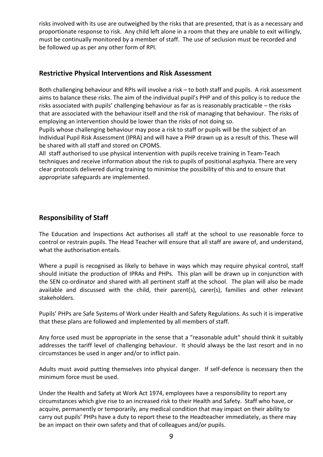risks involved with its use are outweighed by the risks that are presented, that is as a necessary and proportionate response to risk. Any child left alone in a room that they are unable to exit willingly, must be continually monitored by a member of staff. The use of seclusion must be recorded and be followed up as per any other form of RPI.

#### **Restrictive Physical Interventions and Risk Assessment**

Both challenging behaviour and RPIs will involve a risk – to both staff and pupils. A risk assessment aims to balance these risks. The aim of the individual pupil's PHP and of this policy is to reduce the risks associated with pupils' challenging behaviour as far as is reasonably practicable – the risks that are associated with the behaviour itself and the risk of managing that behaviour. The risks of employing an intervention should be lower than the risks of not doing so.

Pupils whose challenging behaviour may pose a risk to staff or pupils will be the subject of an Individual Pupil Risk Assessment (IPRA) and will have a PHP drawn up as a result of this. These will be shared with all staff and stored on CPOMS.

All staff authorised to use physical intervention with pupils receive training in Team-Teach techniques and receive information about the risk to pupils of positional asphyxia. There are very clear protocols delivered during training to minimise the possibility of this and to ensure that appropriate safeguards are implemented.

### **Responsibility of Staff**

The Education and Inspections Act authorises all staff at the school to use reasonable force to control or restrain pupils. The Head Teacher will ensure that all staff are aware of, and understand, what the authorisation entails.

Where a pupil is recognised as likely to behave in ways which may require physical control, staff should initiate the production of IPRAs and PHPs. This plan will be drawn up in conjunction with the SEN co-ordinator and shared with all pertinent staff at the school. The plan will also be made available and discussed with the child, their parent(s), carer(s), families and other relevant stakeholders.

Pupils' PHPs are Safe Systems of Work under Health and Safety Regulations. As such it is imperative that these plans are followed and implemented by all members of staff.

Any force used must be appropriate in the sense that a "reasonable adult" should think it suitably addresses the tariff level of challenging behaviour. It should always be the last resort and in no circumstances be used in anger and/or to inflict pain.

Adults must avoid putting themselves into physical danger. If self-defence is necessary then the minimum force must be used.

Under the Health and Safety at Work Act 1974, employees have a responsibility to report any circumstances which give rise to an increased risk to their Health and Safety. Staff who have, or acquire, permanently or temporarily, any medical condition that may impact on their ability to carry out pupils' PHPs have a duty to report these to the Headteacher immediately, as there may be an impact on their own safety and that of colleagues and/or pupils.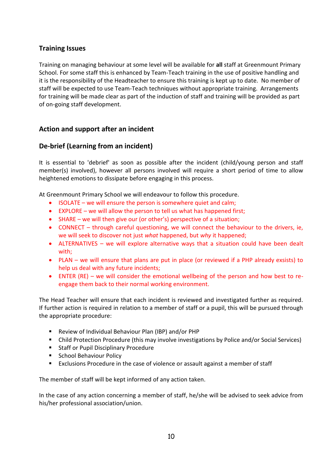# **Training Issues**

Training on managing behaviour at some level will be available for **all** staff at Greenmount Primary School. For some staff this is enhanced by Team-Teach training in the use of positive handling and it is the responsibility of the Headteacher to ensure this training is kept up to date. No member of staff will be expected to use Team-Teach techniques without appropriate training. Arrangements for training will be made clear as part of the induction of staff and training will be provided as part of on-going staff development.

### **Action and support after an incident**

### **De-brief (Learning from an incident)**

It is essential to 'debrief' as soon as possible after the incident (child/young person and staff member(s) involved), however all persons involved will require a short period of time to allow heightened emotions to dissipate before engaging in this process.

At Greenmount Primary School we will endeavour to follow this procedure.

- $\bullet$  ISOLATE we will ensure the person is somewhere quiet and calm;
- EXPLORE we will allow the person to tell us what has happened first;
- SHARE we will then give our (or other's) perspective of a situation;
- CONNECT through careful questioning, we will connect the behaviour to the drivers, ie, we will seek to discover not just *what* happened, but *why* it happened;
- ALTERNATIVES we will explore alternative ways that a situation could have been dealt with;
- PLAN we will ensure that plans are put in place (or reviewed if a PHP already exsists) to help us deal with any future incidents;
- ENTER (RE) we will consider the emotional wellbeing of the person and how best to reengage them back to their normal working environment.

The Head Teacher will ensure that each incident is reviewed and investigated further as required. If further action is required in relation to a member of staff or a pupil, this will be pursued through the appropriate procedure:

- Review of Individual Behaviour Plan (IBP) and/or PHP
- Child Protection Procedure (this may involve investigations by Police and/or Social Services)
- **Staff or Pupil Disciplinary Procedure**
- **School Behaviour Policy**
- Exclusions Procedure in the case of violence or assault against a member of staff

The member of staff will be kept informed of any action taken.

In the case of any action concerning a member of staff, he/she will be advised to seek advice from his/her professional association/union.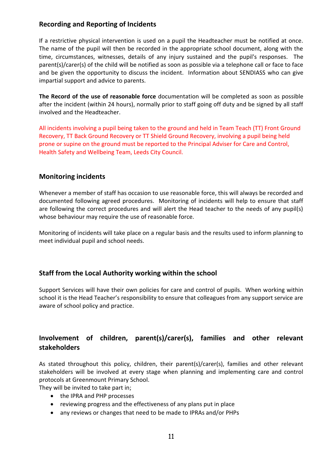### **Recording and Reporting of Incidents**

If a restrictive physical intervention is used on a pupil the Headteacher must be notified at once. The name of the pupil will then be recorded in the appropriate school document, along with the time, circumstances, witnesses, details of any injury sustained and the pupil's responses. The parent(s)/carer(s) of the child will be notified as soon as possible via a telephone call or face to face and be given the opportunity to discuss the incident. Information about SENDIASS who can give impartial support and advice to parents.

**The Record of the use of reasonable force** documentation will be completed as soon as possible after the incident (within 24 hours), normally prior to staff going off duty and be signed by all staff involved and the Headteacher.

All incidents involving a pupil being taken to the ground and held in Team Teach (TT) Front Ground Recovery, TT Back Ground Recovery or TT Shield Ground Recovery, involving a pupil being held prone or supine on the ground must be reported to the Principal Adviser for Care and Control, Health Safety and Wellbeing Team, Leeds City Council.

#### **Monitoring incidents**

Whenever a member of staff has occasion to use reasonable force, this will always be recorded and documented following agreed procedures. Monitoring of incidents will help to ensure that staff are following the correct procedures and will alert the Head teacher to the needs of any pupil(s) whose behaviour may require the use of reasonable force.

Monitoring of incidents will take place on a regular basis and the results used to inform planning to meet individual pupil and school needs.

# **Staff from the Local Authority working within the school**

Support Services will have their own policies for care and control of pupils. When working within school it is the Head Teacher's responsibility to ensure that colleagues from any support service are aware of school policy and practice.

# **Involvement of children, parent(s)/carer(s), families and other relevant stakeholders**

As stated throughout this policy, children, their parent(s)/carer(s), families and other relevant stakeholders will be involved at every stage when planning and implementing care and control protocols at Greenmount Primary School.

They will be invited to take part in;

- the IPRA and PHP processes
- reviewing progress and the effectiveness of any plans put in place
- any reviews or changes that need to be made to IPRAs and/or PHPs